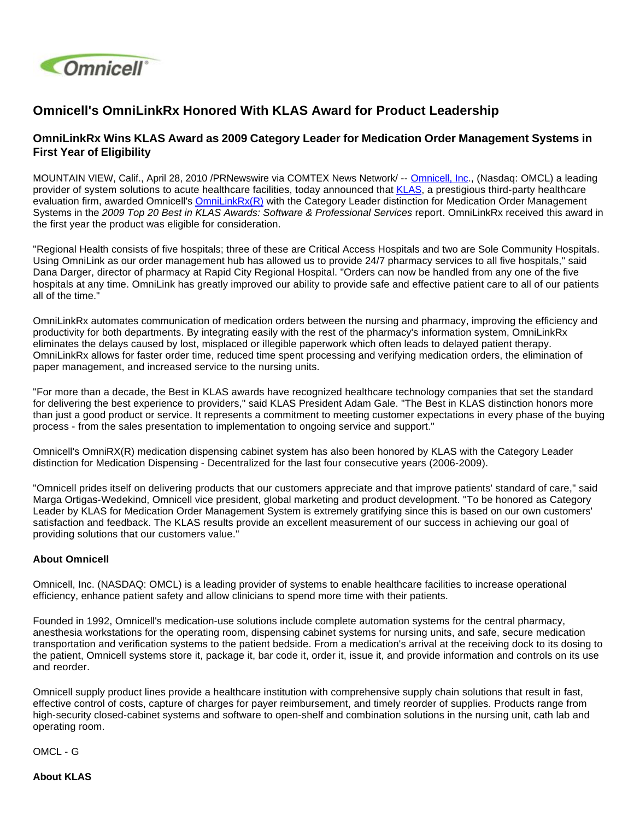

## **Omnicell's OmniLinkRx Honored With KLAS Award for Product Leadership**

## **OmniLinkRx Wins KLAS Award as 2009 Category Leader for Medication Order Management Systems in First Year of Eligibility**

MOUNTAIN VIEW, Calif., April 28, 2010 /PRNewswire via COMTEX News Network/ -- [Omnicell, Inc](http://www.omnicell.com/)., (Nasdaq: OMCL) a leading provider of system solutions to acute healthcare facilities, today announced that [KLAS](http://www.klasresearch.com/KLAS/Site/), a prestigious third-party healthcare evaluation firm, awarded Omnicell's [OmniLinkRx\(R\)](http://www.omnicell.com/Resources/Datasheets/OmniLinkRx.pdf) with the Category Leader distinction for Medication Order Management Systems in the 2009 Top 20 Best in KLAS Awards: Software & Professional Services report. OmniLinkRx received this award in the first year the product was eligible for consideration.

"Regional Health consists of five hospitals; three of these are Critical Access Hospitals and two are Sole Community Hospitals. Using OmniLink as our order management hub has allowed us to provide 24/7 pharmacy services to all five hospitals," said Dana Darger, director of pharmacy at Rapid City Regional Hospital. "Orders can now be handled from any one of the five hospitals at any time. OmniLink has greatly improved our ability to provide safe and effective patient care to all of our patients all of the time."

OmniLinkRx automates communication of medication orders between the nursing and pharmacy, improving the efficiency and productivity for both departments. By integrating easily with the rest of the pharmacy's information system, OmniLinkRx eliminates the delays caused by lost, misplaced or illegible paperwork which often leads to delayed patient therapy. OmniLinkRx allows for faster order time, reduced time spent processing and verifying medication orders, the elimination of paper management, and increased service to the nursing units.

"For more than a decade, the Best in KLAS awards have recognized healthcare technology companies that set the standard for delivering the best experience to providers," said KLAS President Adam Gale. "The Best in KLAS distinction honors more than just a good product or service. It represents a commitment to meeting customer expectations in every phase of the buying process - from the sales presentation to implementation to ongoing service and support."

Omnicell's OmniRX(R) medication dispensing cabinet system has also been honored by KLAS with the Category Leader distinction for Medication Dispensing - Decentralized for the last four consecutive years (2006-2009).

"Omnicell prides itself on delivering products that our customers appreciate and that improve patients' standard of care," said Marga Ortigas-Wedekind, Omnicell vice president, global marketing and product development. "To be honored as Category Leader by KLAS for Medication Order Management System is extremely gratifying since this is based on our own customers' satisfaction and feedback. The KLAS results provide an excellent measurement of our success in achieving our goal of providing solutions that our customers value."

## **About Omnicell**

Omnicell, Inc. (NASDAQ: OMCL) is a leading provider of systems to enable healthcare facilities to increase operational efficiency, enhance patient safety and allow clinicians to spend more time with their patients.

Founded in 1992, Omnicell's medication-use solutions include complete automation systems for the central pharmacy, anesthesia workstations for the operating room, dispensing cabinet systems for nursing units, and safe, secure medication transportation and verification systems to the patient bedside. From a medication's arrival at the receiving dock to its dosing to the patient, Omnicell systems store it, package it, bar code it, order it, issue it, and provide information and controls on its use and reorder.

Omnicell supply product lines provide a healthcare institution with comprehensive supply chain solutions that result in fast, effective control of costs, capture of charges for payer reimbursement, and timely reorder of supplies. Products range from high-security closed-cabinet systems and software to open-shelf and combination solutions in the nursing unit, cath lab and operating room.

OMCL - G

**About KLAS**